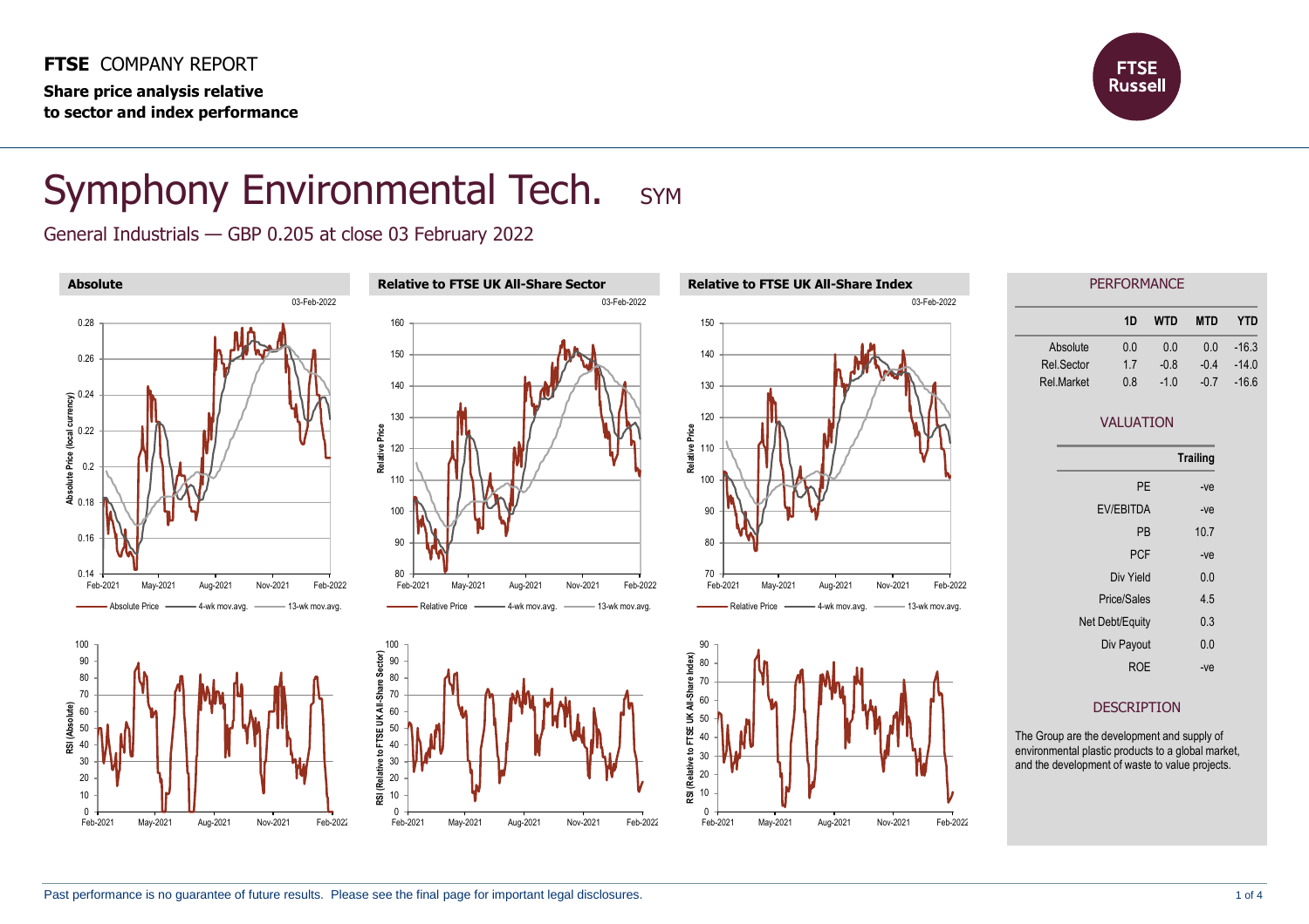**FTSE** COMPANY REPORT **Share price analysis relative to sector and index performance**



## Symphony Environmental Tech. SYM

General Industrials — GBP 0.205 at close 03 February 2022

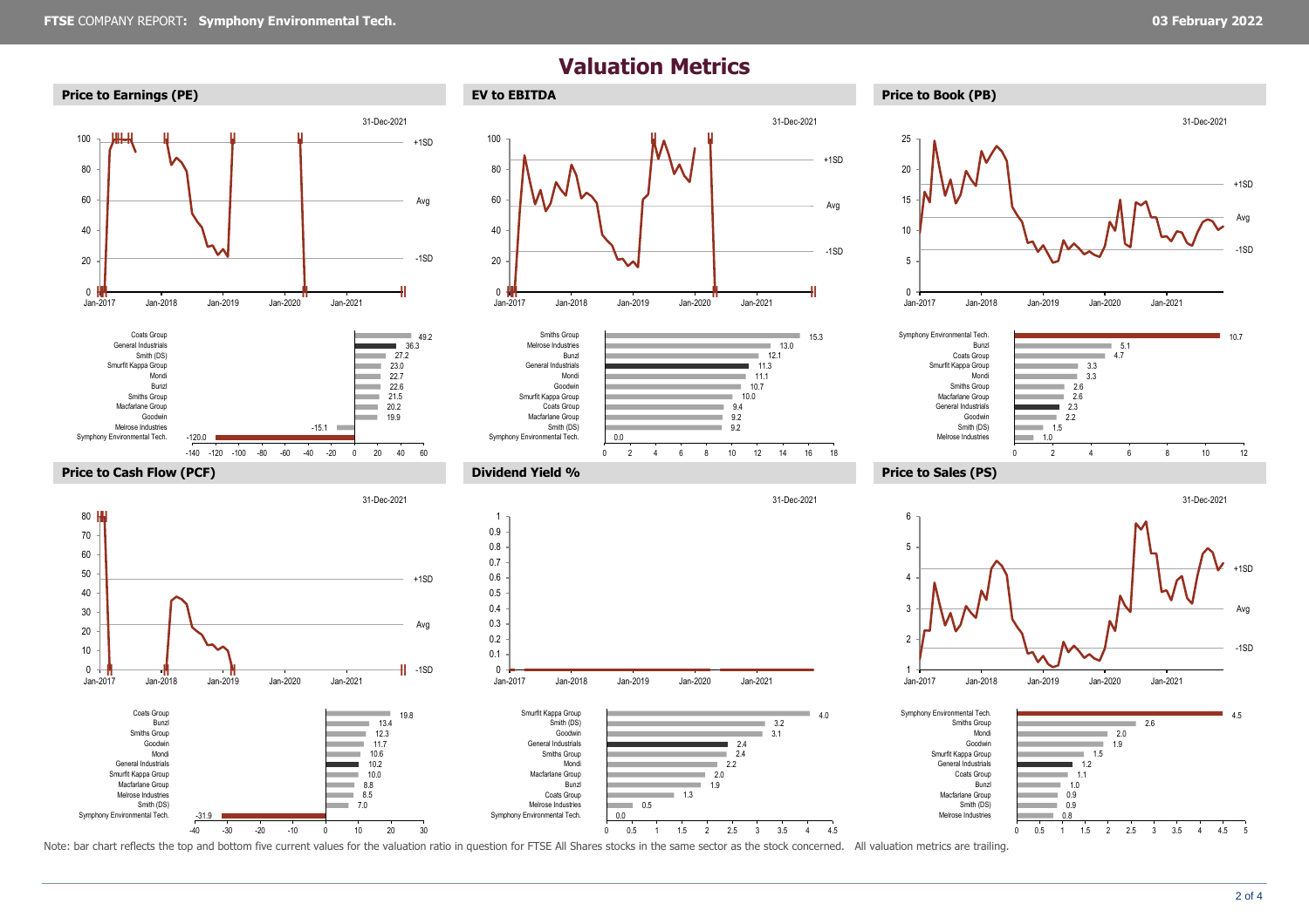**‖‖ ‖ ‖ ‖ ‖**

-120.0

<sup>0</sup> **‖ ‖**

Jan-2017 Jan-2018 Jan-2019 Jan-2020 Jan-2021

0 **|| ||**<br>Jan-2017

Symphony Environmental Tech. Melrose Industries Goodwin Macfarlane Group Smiths Group Bunzl Mondi Smurfit Kappa Group Smith (DS) General Industrials Coats Group

**‖‖** 80

20

40 60

80 100

## **Valuation Metrics**





31-Dec-2021









-140 -120 -100 -80 -60 -40 -20 0 20 40 60 **Price to Cash Flow (PCF) Dividend Yield % Price to Sales (PS)**  $\parallel$  -1SD +1SD Avg <sup>0</sup> **‖ ‖ ‖ ‖** Jan-2017 Jan-2018 Jan-2019 Jan-2020 Jan-2021 31-Dec-2021 0 <del>↓ =</del><br>Jan-2017 0.1 0.2 0.3 0.4 0.5 0.6 0.7 0.8 0.9 1

 $19.9$  $20.2$  $21.5$  $22.6$ 22.7  $23.0$  $27.2$  $36.3$  $49.2$ 

a.

 $-15.1$ 

-1SD

+1SD

31-Dec-2021

Avg







Note: bar chart reflects the top and bottom five current values for the valuation ratio in question for FTSE All Shares stocks in the same sector as the stock concerned. All valuation metrics are trailing.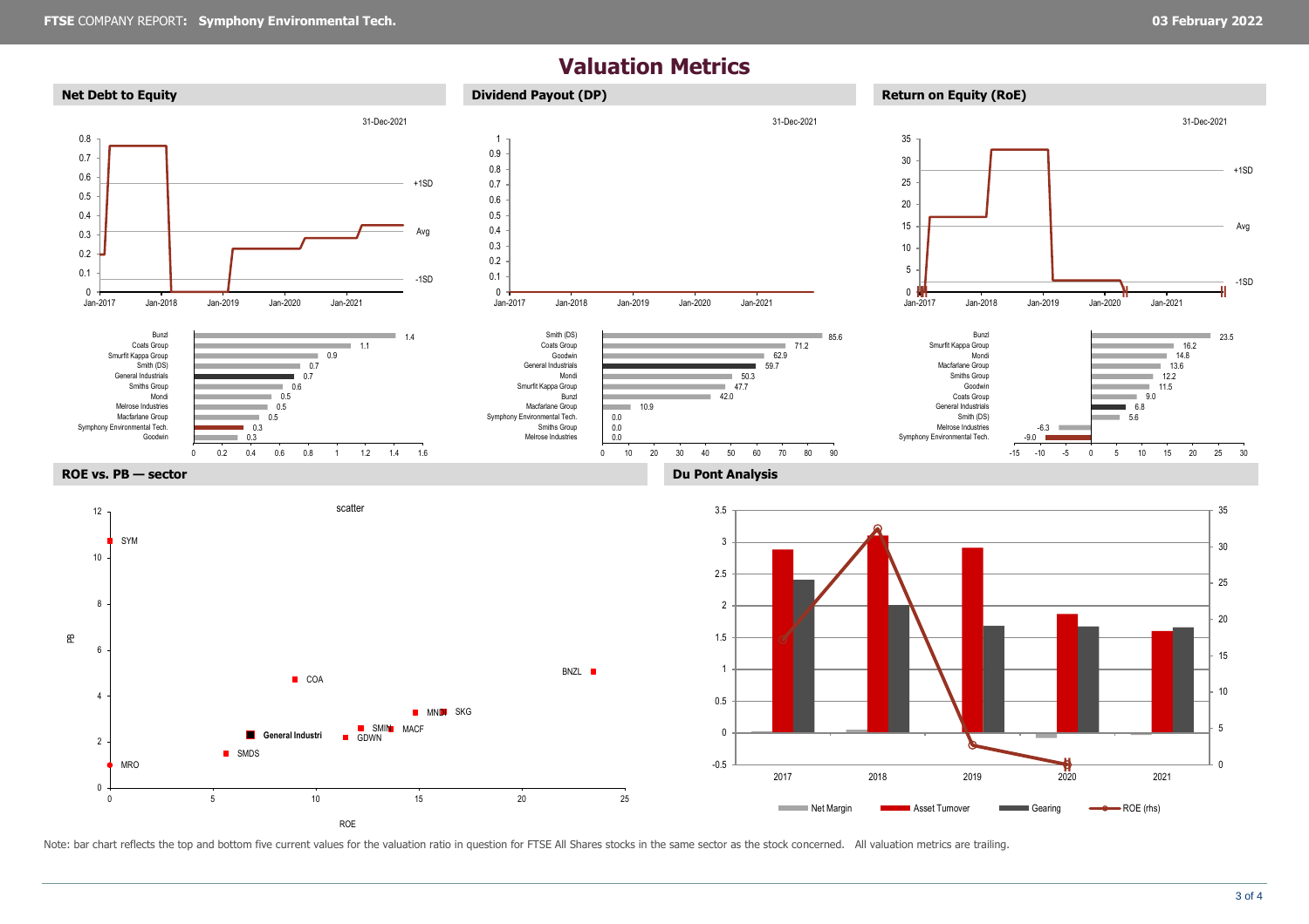## **Valuation Metrics**



Note: bar chart reflects the top and bottom five current values for the valuation ratio in question for FTSE All Shares stocks in the same sector as the stock concerned. All valuation metrics are trailing.